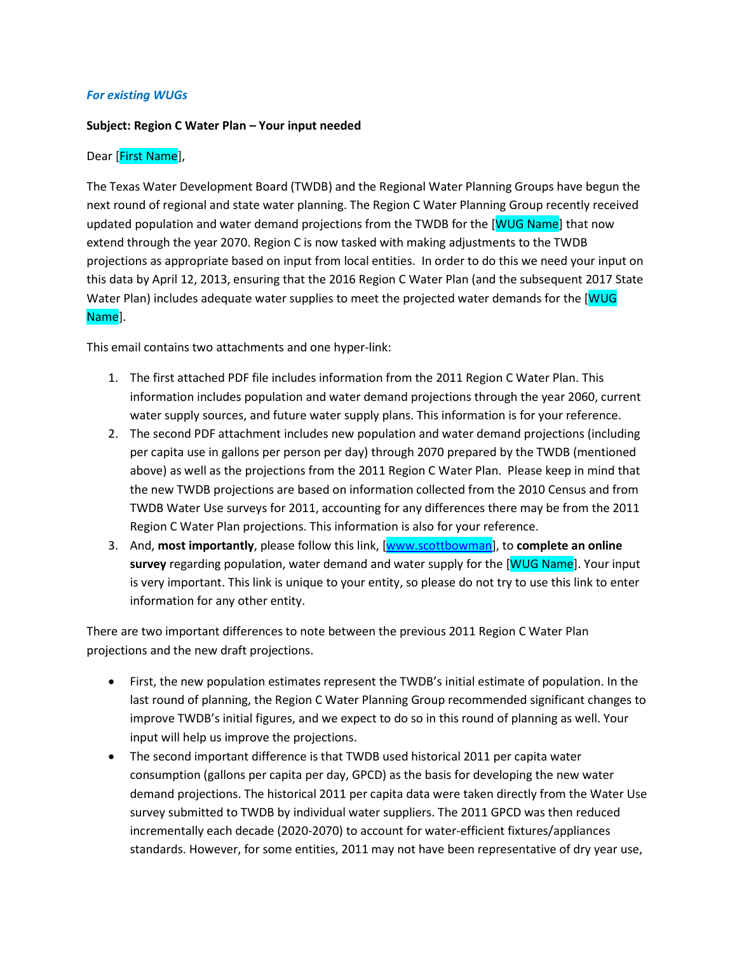### *For existing WUGs*

### **Subject: Region C Water Plan – Your input needed**

### Dear [First Name],

The Texas Water Development Board (TWDB) and the Regional Water Planning Groups have begun the next round of regional and state water planning. The Region C Water Planning Group recently received updated population and water demand projections from the TWDB for the [WUG Name] that now extend through the year 2070. Region C is now tasked with making adjustments to the TWDB projections as appropriate based on input from local entities. In order to do this we need your input on this data by April 12, 2013, ensuring that the 2016 Region C Water Plan (and the subsequent 2017 State Water Plan) includes adequate water supplies to meet the projected water demands for the [WUG Name].

This email contains two attachments and one hyper-link:

- 1. The first attached PDF file includes information from the 2011 Region C Water Plan. This information includes population and water demand projections through the year 2060, current water supply sources, and future water supply plans. This information is for your reference.
- 2. The second PDF attachment includes new population and water demand projections (including per capita use in gallons per person per day) through 2070 prepared by the TWDB (mentioned above) as well as the projections from the 2011 Region C Water Plan. Please keep in mind that the new TWDB projections are based on information collected from the 2010 Census and from TWDB Water Use surveys for 2011, accounting for any differences there may be from the 2011 Region C Water Plan projections. This information is also for your reference.
- 3. And, **most importantly**, please follow this link, [\[www.scottbowman\]](http://www.scottbowman/), to **complete an online survey** regarding population, water demand and water supply for the [WUG Name]. Your input is very important. This link is unique to your entity, so please do not try to use this link to enter information for any other entity.

There are two important differences to note between the previous 2011 Region C Water Plan projections and the new draft projections.

- First, the new population estimates represent the TWDB's initial estimate of population. In the last round of planning, the Region C Water Planning Group recommended significant changes to improve TWDB's initial figures, and we expect to do so in this round of planning as well. Your input will help us improve the projections.
- The second important difference is that TWDB used historical 2011 per capita water consumption (gallons per capita per day, GPCD) as the basis for developing the new water demand projections. The historical 2011 per capita data were taken directly from the Water Use survey submitted to TWDB by individual water suppliers. The 2011 GPCD was then reduced incrementally each decade (2020-2070) to account for water-efficient fixtures/appliances standards. However, for some entities, 2011 may not have been representative of dry year use,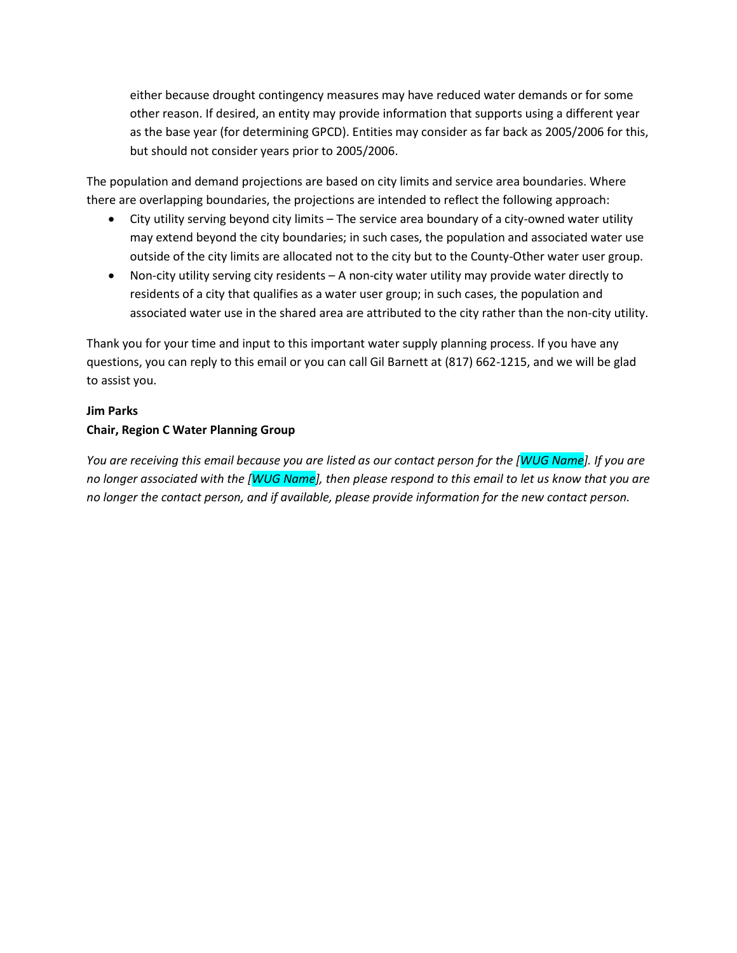either because drought contingency measures may have reduced water demands or for some other reason. If desired, an entity may provide information that supports using a different year as the base year (for determining GPCD). Entities may consider as far back as 2005/2006 for this, but should not consider years prior to 2005/2006.

The population and demand projections are based on city limits and service area boundaries. Where there are overlapping boundaries, the projections are intended to reflect the following approach:

- City utility serving beyond city limits The service area boundary of a city-owned water utility may extend beyond the city boundaries; in such cases, the population and associated water use outside of the city limits are allocated not to the city but to the County-Other water user group.
- Non-city utility serving city residents A non-city water utility may provide water directly to residents of a city that qualifies as a water user group; in such cases, the population and associated water use in the shared area are attributed to the city rather than the non-city utility.

Thank you for your time and input to this important water supply planning process. If you have any questions, you can reply to this email or you can call Gil Barnett at (817) 662-1215, and we will be glad to assist you.

### **Jim Parks**

## **Chair, Region C Water Planning Group**

*You are receiving this email because you are listed as our contact person for the [WUG Name]. If you are no longer associated with the [WUG Name], then please respond to this email to let us know that you are no longer the contact person, and if available, please provide information for the new contact person.*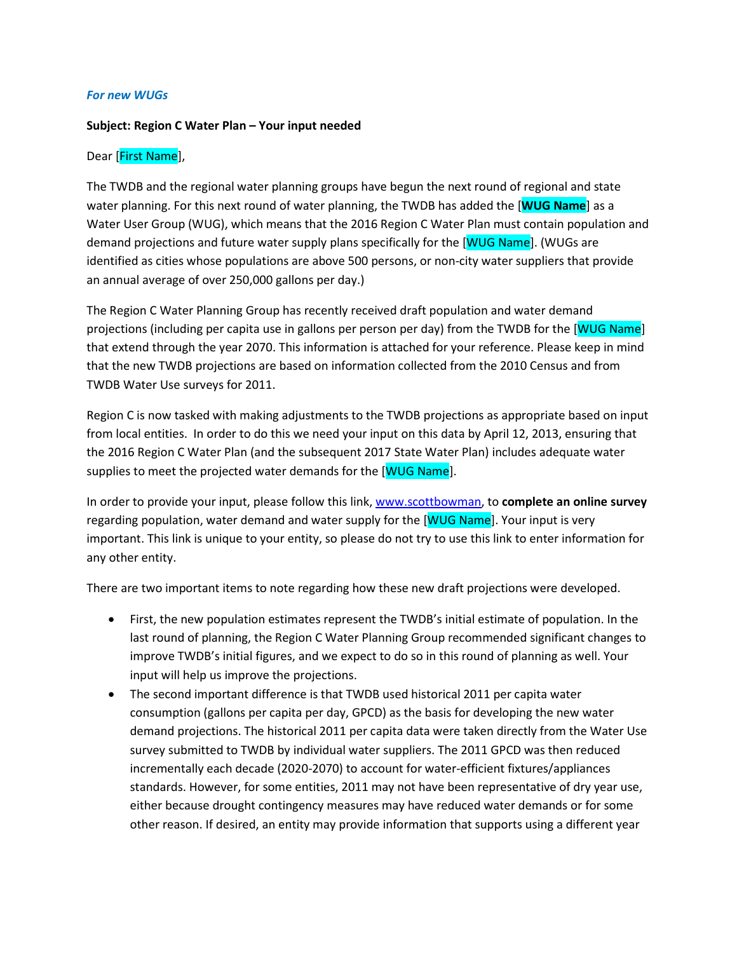### *For new WUGs*

### **Subject: Region C Water Plan – Your input needed**

### Dear [First Name],

The TWDB and the regional water planning groups have begun the next round of regional and state water planning. For this next round of water planning, the TWDB has added the [**WUG Name**] as a Water User Group (WUG), which means that the 2016 Region C Water Plan must contain population and demand projections and future water supply plans specifically for the [WUG Name]. (WUGs are identified as cities whose populations are above 500 persons, or non-city water suppliers that provide an annual average of over 250,000 gallons per day.)

The Region C Water Planning Group has recently received draft population and water demand projections (including per capita use in gallons per person per day) from the TWDB for the [WUG Name] that extend through the year 2070. This information is attached for your reference. Please keep in mind that the new TWDB projections are based on information collected from the 2010 Census and from TWDB Water Use surveys for 2011.

Region C is now tasked with making adjustments to the TWDB projections as appropriate based on input from local entities. In order to do this we need your input on this data by April 12, 2013, ensuring that the 2016 Region C Water Plan (and the subsequent 2017 State Water Plan) includes adequate water supplies to meet the projected water demands for the [WUG Name].

In order to provide your input, please follow this link, [www.scottbowman,](http://www.scottbowman/) to **complete an online survey** regarding population, water demand and water supply for the [WUG Name]. Your input is very important. This link is unique to your entity, so please do not try to use this link to enter information for any other entity.

There are two important items to note regarding how these new draft projections were developed.

- First, the new population estimates represent the TWDB's initial estimate of population. In the last round of planning, the Region C Water Planning Group recommended significant changes to improve TWDB's initial figures, and we expect to do so in this round of planning as well. Your input will help us improve the projections.
- The second important difference is that TWDB used historical 2011 per capita water consumption (gallons per capita per day, GPCD) as the basis for developing the new water demand projections. The historical 2011 per capita data were taken directly from the Water Use survey submitted to TWDB by individual water suppliers. The 2011 GPCD was then reduced incrementally each decade (2020-2070) to account for water-efficient fixtures/appliances standards. However, for some entities, 2011 may not have been representative of dry year use, either because drought contingency measures may have reduced water demands or for some other reason. If desired, an entity may provide information that supports using a different year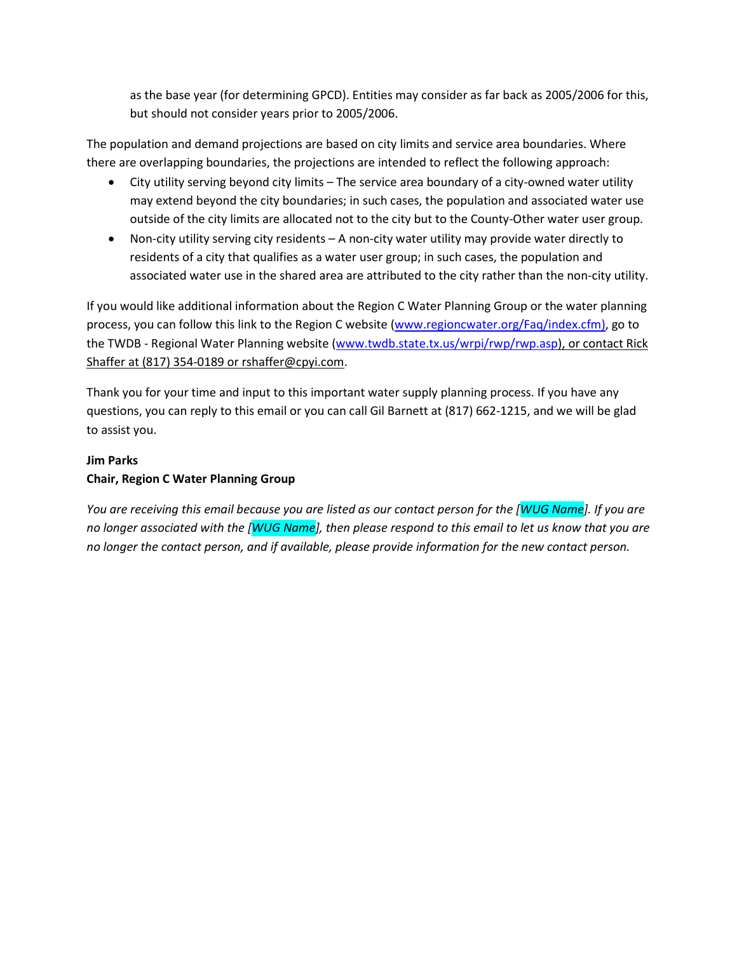as the base year (for determining GPCD). Entities may consider as far back as 2005/2006 for this, but should not consider years prior to 2005/2006.

The population and demand projections are based on city limits and service area boundaries. Where there are overlapping boundaries, the projections are intended to reflect the following approach:

- City utility serving beyond city limits The service area boundary of a city-owned water utility may extend beyond the city boundaries; in such cases, the population and associated water use outside of the city limits are allocated not to the city but to the County-Other water user group.
- Non-city utility serving city residents A non-city water utility may provide water directly to residents of a city that qualifies as a water user group; in such cases, the population and associated water use in the shared area are attributed to the city rather than the non-city utility.

If you would like additional information about the Region C Water Planning Group or the water planning process, you can follow this link to the Region C website [\(www.regioncwater.org/Faq/index.cfm\)](http://www.regioncwater.org/Faq/index.cfm), go to the TWDB - Regional Water Planning website [\(www.twdb.state.tx.us/wrpi/rwp/rwp.asp\)](http://www.twdb.state.tx.us/wrpi/rwp/rwp.asp), or contact Rick Shaffer at (817) 354-0189 or rshaffer@cpyi.com.

Thank you for your time and input to this important water supply planning process. If you have any questions, you can reply to this email or you can call Gil Barnett at (817) 662-1215, and we will be glad to assist you.

# **Jim Parks Chair, Region C Water Planning Group**

*You are receiving this email because you are listed as our contact person for the [WUG Name]. If you are no longer associated with the [WUG Name], then please respond to this email to let us know that you are no longer the contact person, and if available, please provide information for the new contact person.*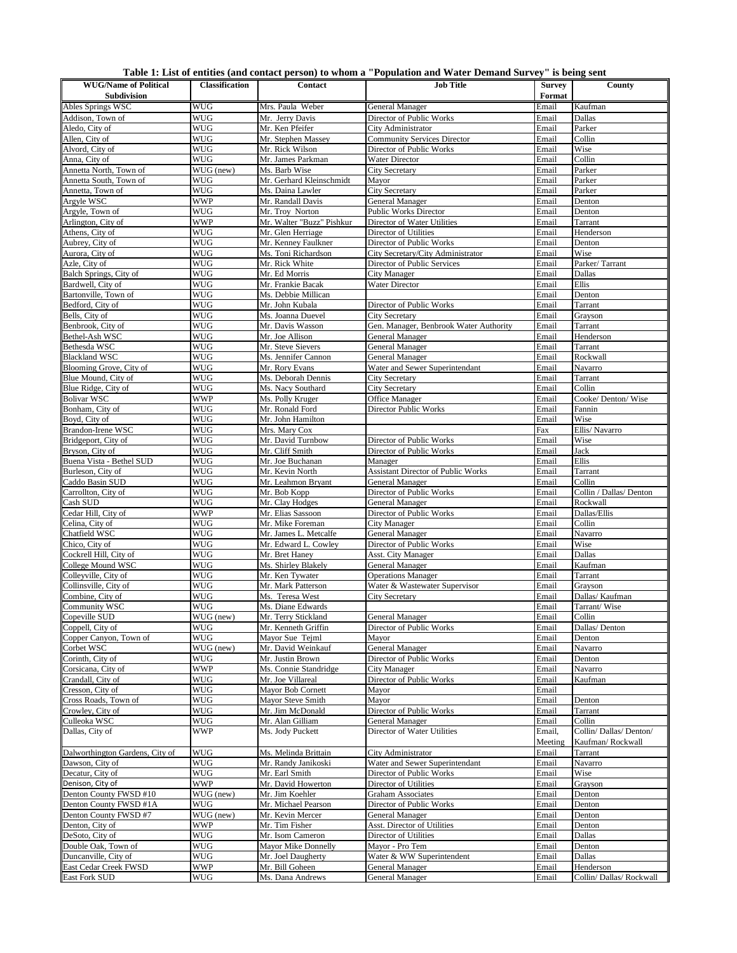|  | Table 1: List of entities (and contact person) to whom a "Population and Water Demand Survey" is being sent |  |  |  |
|--|-------------------------------------------------------------------------------------------------------------|--|--|--|
|--|-------------------------------------------------------------------------------------------------------------|--|--|--|

| <b>WUG/Name of Political</b>       | <b>Classification</b> | Contact                                  | ,,,,,,,,,,,<br><b>Job Title</b>                            | <b>Survey</b>  | County                          |
|------------------------------------|-----------------------|------------------------------------------|------------------------------------------------------------|----------------|---------------------------------|
| <b>Subdivision</b>                 |                       |                                          |                                                            | Format         |                                 |
| Ables Springs WSC                  | <b>WUG</b>            | Mrs. Paula Weber                         | General Manager                                            | Email          | Kaufman                         |
| Addison, Town of                   | <b>WUG</b>            | Mr. Jerry Davis                          | Director of Public Works                                   | Email          | Dallas                          |
| Aledo, City of                     | WUG                   | Mr. Ken Pfeifer                          | City Administrator                                         | Email          | Parker                          |
| Allen, City of                     | WUG                   | Mr. Stephen Massey                       | <b>Community Services Director</b>                         | Email          | Collin                          |
| Alvord, City of                    | WUG                   | Mr. Rick Wilson                          | Director of Public Works                                   | Email          | Wise                            |
| Anna, City of                      | WUG                   | Mr. James Parkman                        | Water Director                                             | Email          | Collin                          |
| Annetta North, Town of             | WUG (new)             | Ms. Barb Wise                            | <b>City Secretary</b>                                      | Email          | Parker                          |
| Annetta South, Town of             | WUG                   | Mr. Gerhard Kleinschmidt                 | Mayor                                                      | Email          | Parker                          |
| Annetta, Town of                   | WUG                   | Ms. Daina Lawler                         | <b>City Secretary</b>                                      | Email          | Parker                          |
| Argyle WSC                         | <b>WWP</b>            | Mr. Randall Davis                        | General Manager                                            | Email          | Denton                          |
| Argyle, Town of                    | <b>WUG</b>            | Mr. Troy Norton                          | <b>Public Works Director</b>                               | Email          | Denton                          |
| Arlington, City of                 | <b>WWP</b>            | Mr. Walter "Buzz" Pishkur                | Director of Water Utilities                                | Email          | Tarrant                         |
| Athens, City of<br>Aubrey, City of | WUG<br>WUG            | Mr. Glen Herriage<br>Mr. Kenney Faulkner | Director of Utilities<br>Director of Public Works          | Email<br>Email | Henderson<br>Denton             |
| Aurora, City of                    | WUG                   | Ms. Toni Richardson                      | City Secretary/City Administrator                          | Email          | Wise                            |
| Azle, City of                      | WUG                   | Mr. Rick White                           | Director of Public Services                                | Email          | Parker/Tarrant                  |
| Balch Springs, City of             | WUG                   | Mr. Ed Morris                            | City Manager                                               | Email          | Dallas                          |
| Bardwell, City of                  | WUG                   | Mr. Frankie Bacak                        | Water Director                                             | Email          | Ellis                           |
| Bartonville, Town of               | <b>WUG</b>            | Ms. Debbie Millican                      |                                                            | Email          | Denton                          |
| Bedford, City of                   | <b>WUG</b>            | Mr. John Kubala                          | Director of Public Works                                   | Email          | Tarrant                         |
| Bells, City of                     | WUG                   | Ms. Joanna Duevel                        | <b>City Secretary</b>                                      | Email          | Grayson                         |
| Benbrook, City of                  | WUG                   | Mr. Davis Wasson                         | Gen. Manager, Benbrook Water Authority                     | Email          | Tarrant                         |
| Bethel-Ash WSC                     | WUG                   | Mr. Joe Allison                          | General Manager                                            | Email          | Henderson                       |
| Bethesda WSC                       | WUG                   | Mr. Steve Sievers                        | General Manager                                            | Email          | Tarrant                         |
| <b>Blackland WSC</b>               | WUG                   | Ms. Jennifer Cannon                      | General Manager                                            | Email          | Rockwall                        |
| Blooming Grove, City of            | <b>WUG</b>            | Mr. Rory Evans                           | Water and Sewer Superintendant                             | Email          | Navarro                         |
| Blue Mound, City of                | WUG                   | Ms. Deborah Dennis                       | City Secretary                                             | Email          | Tarrant                         |
| Blue Ridge, City of                | <b>WUG</b>            | Ms. Nacy Southard                        | <b>City Secretary</b>                                      | Email          | Collin                          |
| Bolivar WSC                        | <b>WWP</b>            | Ms. Polly Kruger                         | Office Manager                                             | Email          | Cooke/ Denton/ Wise             |
| Bonham, City of                    | WUG<br>WUG            | Mr. Ronald Ford                          | Director Public Works                                      | Email          | Fannin<br>Wise                  |
| Boyd, City of<br>Brandon-Irene WSC | WUG                   | Mr. John Hamilton<br>Mrs. Mary Cox       |                                                            | Email<br>Fax   | Ellis/Navarro                   |
| Bridgeport, City of                | WUG                   | Mr. David Turnbow                        | Director of Public Works                                   | Email          | Wise                            |
| Bryson, City of                    | WUG                   | Mr. Cliff Smith                          | Director of Public Works                                   | Email          | Jack                            |
| Buena Vista - Bethel SUD           | WUG                   | Mr. Joe Buchanan                         | Manager                                                    | Email          | Ellis                           |
| Burleson, City of                  | WUG                   | Mr. Kevin North                          | <b>Assistant Director of Public Works</b>                  | Email          | Tarrant                         |
| Caddo Basin SUD                    | WUG                   | Mr. Leahmon Bryant                       | General Manager                                            | Email          | Collin                          |
| Carrollton, City of                | WUG                   | Mr. Bob Kopp                             | Director of Public Works                                   | Email          | Collin / Dallas/ Denton         |
| Cash SUD                           | WUG                   | Mr. Clay Hodges                          | General Manager                                            | Email          | Rockwall                        |
| Cedar Hill, City of                | <b>WWP</b>            | Mr. Elias Sassoon                        | Director of Public Works                                   | Email          | Dallas/Ellis                    |
| Celina, City of                    | WUG                   | Mr. Mike Foreman                         | City Manager                                               | Email          | Collin                          |
| Chatfield WSC                      | WUG                   | Mr. James L. Metcalfe                    | General Manager                                            | Email          | Navarro                         |
| Chico, City of                     | WUG                   | Mr. Edward L. Cowley                     | Director of Public Works                                   | Email          | Wise                            |
| Cockrell Hill, City of             | <b>WUG</b>            | Mr. Bret Haney                           | Asst. City Manager                                         | Email          | Dallas                          |
| College Mound WSC                  | <b>WUG</b>            | Ms. Shirley Blakely                      | General Manager                                            | Email          | Kaufman                         |
| Colleyville, City of               | WUG                   | Mr. Ken Tywater                          | <b>Operations Manager</b>                                  | Email          | Tarrant                         |
| Collinsville, City of              | WUG                   | Mr. Mark Patterson                       | Water & Wastewater Supervisor                              | Email          | Grayson                         |
| Combine, City of<br>Community WSC  | WUG<br><b>WUG</b>     | Ms. Teresa West<br>Ms. Diane Edwards     | <b>City Secretary</b>                                      | Email<br>Email | Dallas/ Kaufman<br>Tarrant/Wise |
| Copeville SUD                      | WUG (new)             | Mr. Terry Stickland                      | General Manager                                            | Email          | Collin                          |
| Coppell, City of                   | <b>WUG</b>            | Mr. Kenneth Griffin                      | Director of Public Works                                   | Email          | Dallas/Denton                   |
| Copper Canyon, Town of             | WUG                   | Mayor Sue Tejml                          | Mavor                                                      | Email          | Denton                          |
| Corbet WSC                         | WUG (new)             | Mr. David Weinkauf                       | General Manager                                            | Email          | Navarro                         |
| Corinth, City of                   | <b>WUG</b>            | Mr. Justin Brown                         | Director of Public Works                                   | Email          | Denton                          |
| Corsicana, City of                 | <b>WWP</b>            | Ms. Connie Standridge                    | City Manager                                               | Email          | Navarro                         |
| Crandall, City of                  | <b>WUG</b>            | Mr. Joe Villareal                        | Director of Public Works                                   | Email          | Kaufman                         |
| Cresson, City of                   | WUG                   | Mayor Bob Cornett                        | Mayor                                                      | Email          |                                 |
| Cross Roads, Town of               | WUG                   | Mayor Steve Smith                        | Mayor                                                      | Email          | Denton                          |
| Crowley, City of                   | WUG                   | Mr. Jim McDonald                         | Director of Public Works                                   | Email          | Tarrant                         |
| Culleoka WSC                       | WUG                   | Mr. Alan Gilliam                         | General Manager                                            | Email          | Collin                          |
| Dallas, City of                    | <b>WWP</b>            | Ms. Jody Puckett                         | Director of Water Utilities                                | Email,         | Collin/Dallas/Denton/           |
| Dalworthington Gardens, City of    |                       |                                          |                                                            | Meeting        | Kaufman/Rockwall                |
| Dawson, City of                    | <b>WUG</b>            | Ms. Melinda Brittain                     | City Administrator                                         | Email          | Tarrant<br>Navarro              |
| Decatur, City of                   | WUG<br>WUG            | Mr. Randy Janikoski<br>Mr. Earl Smith    | Water and Sewer Superintendant<br>Director of Public Works | Email<br>Email | Wise                            |
| Denison, City of                   | WWP                   | Mr. David Howerton                       | Director of Utilities                                      | Email          | Grayson                         |
| Denton County FWSD #10             | WUG (new)             | Mr. Jim Koehler                          | Graham Associates                                          | Email          | Denton                          |
| Denton County FWSD #1A             | WUG                   | Mr. Michael Pearson                      | Director of Public Works                                   | Email          | Denton                          |
| Denton County FWSD #7              | WUG (new)             | Mr. Kevin Mercer                         | General Manager                                            | Email          | Denton                          |
| Denton, City of                    | <b>WWP</b>            | Mr. Tim Fisher                           | Asst. Director of Utilities                                | Email          | Denton                          |
| DeSoto, City of                    | <b>WUG</b>            | Mr. Isom Cameron                         | Director of Utilities                                      | Email          | Dallas                          |
| Double Oak, Town of                | WUG                   | Mayor Mike Donnelly                      | Mayor - Pro Tem                                            | Email          | Denton                          |
| Duncanville, City of               | WUG                   | Mr. Joel Daugherty                       | Water & WW Superintendent                                  | Email          | Dallas                          |
| East Cedar Creek FWSD              | <b>WWP</b>            | Mr. Bill Goheen                          | General Manager                                            | Email          | Henderson                       |
| <b>East Fork SUD</b>               | WUG                   | Ms. Dana Andrews                         | General Manager                                            | Email          | Collin/Dallas/Rockwall          |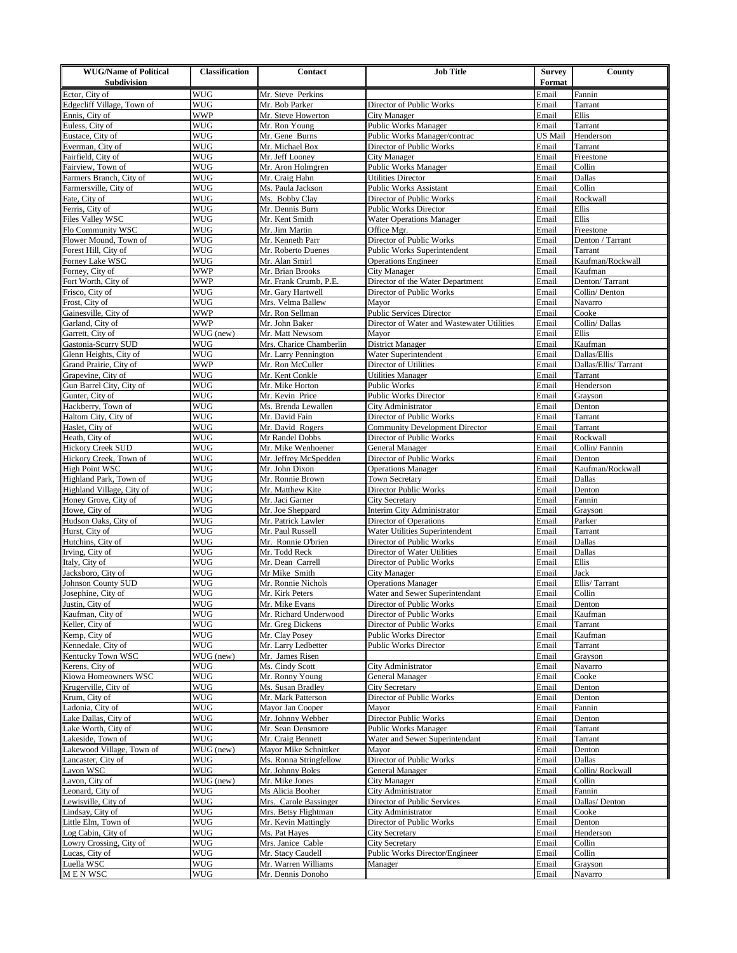| <b>WUG/Name of Political</b>                     | <b>Classification</b>    | <b>Contact</b>                             | <b>Job Title</b>                                         | Survey         | County                          |
|--------------------------------------------------|--------------------------|--------------------------------------------|----------------------------------------------------------|----------------|---------------------------------|
| <b>Subdivision</b>                               |                          |                                            |                                                          | Format         |                                 |
| Ector, City of                                   | <b>WUG</b>               | Mr. Steve Perkins                          |                                                          | Email          | Fannin                          |
| Edgecliff Village, Town of                       | <b>WUG</b>               | Mr. Bob Parker                             | Director of Public Works                                 | Email          | Tarrant                         |
| Ennis, City of<br>Euless, City of                | WWP<br><b>WUG</b>        | Mr. Steve Howerton<br>Mr. Ron Young        | City Manager<br>Public Works Manager                     | Email<br>Email | Ellis<br>Tarrant                |
| Eustace, City of                                 | WUG                      | Mr. Gene Burns                             | Public Works Manager/contrac                             | US Mail        | Henderson                       |
| Everman, City of                                 | WUG                      | Mr. Michael Box                            | Director of Public Works                                 | Email          | Tarrant                         |
| Fairfield, City of                               | WUG                      | Mr. Jeff Looney                            | City Manager                                             | Email          | Freestone                       |
| Fairview, Town of                                | WUG                      | Mr. Aron Holmgren                          | Public Works Manager                                     | Email          | Collin                          |
| Farmers Branch, City of                          | WUG                      | Mr. Craig Hahn                             | <b>Utilities Director</b>                                | Email          | Dallas                          |
| Farmersville, City of                            | <b>WUG</b>               | Ms. Paula Jackson                          | <b>Public Works Assistant</b>                            | Email          | Collin                          |
| Fate, City of                                    | <b>WUG</b>               | Ms. Bobby Clay                             | Director of Public Works                                 | Email          | Rockwall                        |
| Ferris, City of                                  | WUG                      | Mr. Dennis Burn                            | <b>Public Works Director</b>                             | Email          | Ellis                           |
| Files Valley WSC                                 | WUG                      | Mr. Kent Smith                             | <b>Water Operations Manager</b>                          | Email          | Ellis                           |
| Flo Community WSC<br>Flower Mound, Town of       | WUG<br>WUG               | Mr. Jim Martin<br>Mr. Kenneth Parr         | Office Mgr.<br>Director of Public Works                  | Email<br>Email | Freestone<br>Denton / Tarrant   |
| Forest Hill, City of                             | WUG                      | Mr. Roberto Duenes                         | Public Works Superintendent                              | Email          | Tarrant                         |
| Forney Lake WSC                                  | WUG                      | Mr. Alan Smirl                             | <b>Operations Engineer</b>                               | Email          | Kaufman/Rockwall                |
| Forney, City of                                  | <b>WWP</b>               | Mr. Brian Brooks                           | City Manager                                             | Email          | Kaufman                         |
| Fort Worth, City of                              | <b>WWP</b>               | Mr. Frank Crumb, P.E                       | Director of the Water Department                         | Email          | Denton/Tarrant                  |
| Frisco, City of                                  | WUG                      | Mr. Gary Hartwell                          | Director of Public Works                                 | Email          | Collin/Denton                   |
| Frost, City of                                   | WUG                      | Mrs. Velma Ballew                          | Mayor                                                    | Email          | Navarro                         |
| Gainesville, City of                             | <b>WWP</b>               | Mr. Ron Sellman                            | <b>Public Services Director</b>                          | Email          | Cooke                           |
| Garland, City of                                 | <b>WWP</b>               | Mr. John Baker                             | Director of Water and Wastewater Utilities               | Email          | Collin/Dallas                   |
| Garrett, City of                                 | WUG (new)                | Mr. Matt Newsom                            | Mayor                                                    | Email          | Ellis                           |
| Gastonia-Scurry SUD                              | WUG                      | Mrs. Charice Chamberlin                    | District Manager                                         | Email          | Kaufman                         |
| Glenn Heights, City of<br>Grand Prairie, City of | <b>WUG</b><br><b>WWP</b> | Mr. Larry Pennington                       | Water Superintendent                                     | Email          | Dallas/Ellis                    |
| Grapevine, City of                               | WUG                      | Mr. Ron McCuller<br>Mr. Kent Conkle        | Director of Utilities<br><b>Utilities Manager</b>        | Email<br>Email | Dallas/Ellis/Tarrant<br>Tarrant |
| Gun Barrel City, City of                         | WUG                      | Mr. Mike Horton                            | Public Works                                             | Email          | Henderson                       |
| Gunter, City of                                  | WUG                      | Mr. Kevin Price                            | Public Works Director                                    | Email          | Grayson                         |
| Hackberry, Town of                               | WUG                      | Ms. Brenda Lewallen                        | City Administrator                                       | Email          | Denton                          |
| Haltom City, City of                             | WUG                      | Mr. David Fain                             | Director of Public Works                                 | Email          | Tarrant                         |
| Haslet, City of                                  | WUG                      | Mr. David Rogers                           | <b>Community Development Director</b>                    | Email          | Tarrant                         |
| Heath, City of                                   | WUG                      | Mr Randel Dobbs                            | Director of Public Works                                 | Email          | Rockwall                        |
| <b>Hickory Creek SUD</b>                         | <b>WUG</b>               | Mr. Mike Wenhoener                         | General Manager                                          | Email          | Collin/Fannin                   |
| Hickory Creek, Town of                           | <b>WUG</b>               | Mr. Jeffrey McSpedden                      | Director of Public Works                                 | Email          | Denton                          |
| High Point WSC                                   | WUG                      | Mr. John Dixon                             | <b>Operations Manager</b>                                | Email          | Kaufman/Rockwall                |
| Highland Park, Town of                           | WUG                      | Mr. Ronnie Brown                           | <b>Town Secretary</b>                                    | Email          | Dallas                          |
| Highland Village, City of                        | WUG<br><b>WUG</b>        | Mr. Matthew Kite                           | Director Public Works                                    | Email<br>Email | Denton<br>Fannin                |
| Honey Grove, City of<br>Howe, City of            | WUG                      | Mr. Jaci Garner<br>Mr. Joe Sheppard        | <b>City Secretary</b><br>Interim City Administrator      | Email          | Grayson                         |
| Hudson Oaks, City of                             | WUG                      | Mr. Patrick Lawler                         | Director of Operations                                   | Email          | Parker                          |
| Hurst, City of                                   | WUG                      | Mr. Paul Russell                           | Water Utilities Superintendent                           | Email          | Tarrant                         |
| Hutchins, City of                                | <b>WUG</b>               | Mr. Ronnie O'brien                         | Director of Public Works                                 | Email          | Dallas                          |
| Irving, City of                                  | WUG                      | Mr. Todd Reck                              | Director of Water Utilities                              | Email          | Dallas                          |
| Italy, City of                                   | WUG                      | Mr. Dean Carrell                           | Director of Public Works                                 | Email          | Ellis                           |
| Jacksboro, City of                               | WUG                      | Mr Mike Smith                              | City Manager                                             | Email          | Jack                            |
| Johnson County SUD                               | WUG                      | Mr. Ronnie Nichols                         | <b>Operations Manager</b>                                | Email          | Ellis/Tarrant                   |
| Josephine, City of                               | WUG                      | Mr. Kirk Peters                            | Water and Sewer Superintendant                           | Email          | Collin                          |
| Justin, City of                                  | WUG                      | Mr. Mike Evans                             | Director of Public Works                                 | Email          | Denton                          |
| Kaufman, City of                                 | <b>WUG</b><br>WUG        | Mr. Richard Underwood                      | Director of Public Works                                 | Email<br>Email | Kaufman<br>Tarrant              |
| Keller, City of<br>Kemp, City of                 | WUG                      | Mr. Greg Dickens<br>Mr. Clay Posey         | Director of Public Works<br><b>Public Works Director</b> | Email          | Kaufman                         |
| Kennedale, City of                               | WUG                      | Mr. Larry Ledbetter                        | <b>Public Works Director</b>                             | Email          | Tarrant                         |
| Kentucky Town WSC                                | WUG (new)                | Mr. James Risen                            |                                                          | Email          | Grayson                         |
| Kerens, City of                                  | WUG                      | Ms. Cindy Scott                            | City Administrator                                       | Email          | Navarro                         |
| Kiowa Homeowners WSC                             | WUG                      | Mr. Ronny Young                            | General Manager                                          | Email          | Cooke                           |
| Krugerville, City of                             | <b>WUG</b>               | Ms. Susan Bradley                          | City Secretary                                           | Email          | Denton                          |
| Krum, City of                                    | WUG                      | Mr. Mark Patterson                         | Director of Public Works                                 | Email          | Denton                          |
| Ladonia, City of                                 | WUG                      | Mayor Jan Cooper                           | Mayor                                                    | Email          | Fannin                          |
| Lake Dallas, City of                             | WUG                      | Mr. Johnny Webber                          | Director Public Works                                    | Email          | Denton                          |
| Lake Worth, City of                              | WUG                      | Mr. Sean Densmore                          | Public Works Manager                                     | Email          | Tarrant                         |
| Lakeside, Town of                                | WUG                      | Mr. Craig Bennett                          | Water and Sewer Superintendant                           | Email          | Tarrant                         |
| Lakewood Village, Town of                        | WUG (new)<br>WUG         | Mayor Mike Schnittker                      | Mayor<br>Director of Public Works                        | Email          | Denton<br>Dallas                |
| Lancaster, City of<br>Lavon WSC                  | WUG                      | Ms. Ronna Stringfellow<br>Mr. Johnny Boles | General Manager                                          | Email<br>Email | Collin/Rockwall                 |
| Lavon, City of                                   | WUG (new)                | Mr. Mike Jones                             | City Manager                                             | Email          | Collin                          |
| Leonard, City of                                 | WUG                      | Ms Alicia Booher                           | City Administrator                                       | Email          | Fannin                          |
| Lewisville, City of                              | WUG                      | Mrs. Carole Bassinger                      | Director of Public Services                              | Email          | Dallas/Denton                   |
| Lindsay, City of                                 | WUG                      | Mrs. Betsy Flightman                       | City Administrator                                       | Email          | Cooke                           |
| Little Elm, Town of                              | WUG                      | Mr. Kevin Mattingly                        | Director of Public Works                                 | Email          | Denton                          |
| Log Cabin, City of                               | WUG                      | Ms. Pat Hayes                              | City Secretary                                           | Email          | Henderson                       |
| Lowry Crossing, City of                          | WUG                      | Mrs. Janice Cable                          | <b>City Secretary</b>                                    | Email          | Collin                          |
| Lucas, City of                                   | WUG                      | Mr. Stacy Caudell                          | Public Works Director/Engineer                           | Email          | Collin                          |
| Luella WSC                                       | WUG                      | Mr. Warren Williams                        | Manager                                                  | Email          | Grayson                         |
| MENWSC                                           | WUG                      | Mr. Dennis Donoho                          |                                                          | Email          | Navarro                         |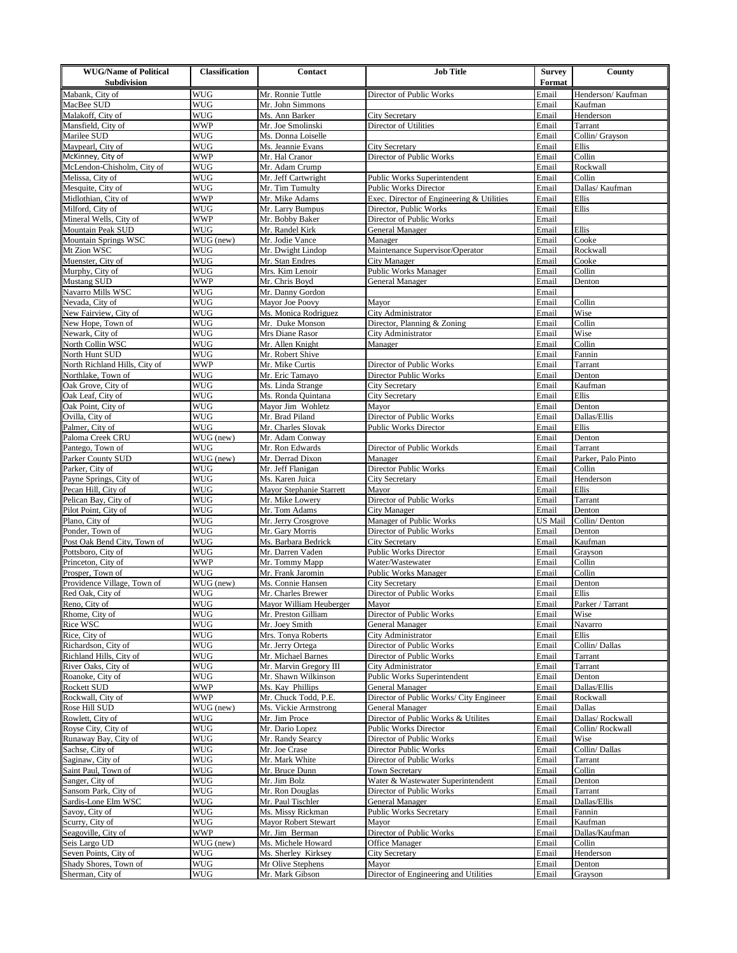| <b>WUG/Name of Political</b><br><b>Subdivision</b> | <b>Classification</b>    | <b>Contact</b>                         | <b>Job Title</b>                                   | Survey<br>Format | County                       |
|----------------------------------------------------|--------------------------|----------------------------------------|----------------------------------------------------|------------------|------------------------------|
|                                                    |                          |                                        |                                                    |                  |                              |
| Mabank, City of<br>MacBee SUD                      | <b>WUG</b><br><b>WUG</b> | Mr. Ronnie Tuttle<br>Mr. John Simmons  | Director of Public Works                           | Email<br>Email   | Henderson/Kaufman<br>Kaufman |
| Malakoff, City of                                  | WUG                      | Ms. Ann Barker                         | <b>City Secretary</b>                              | Email            | Henderson                    |
| Mansfield, City of                                 | WWP                      | Mr. Joe Smolinski                      | Director of Utilities                              | Email            | Tarrant                      |
| Marilee SUD                                        | WUG                      | Ms. Donna Loiselle                     |                                                    | Email            | Collin/ Grayson              |
| Maypearl, City of                                  | WUG                      | Ms. Jeannie Evans                      | City Secretary                                     | Email            | Ellis                        |
| McKinney, City of                                  | WWP                      | Mr. Hal Cranor                         | Director of Public Works                           | Email            | Collin                       |
| McLendon-Chisholm, City of                         | WUG                      | Mr. Adam Crump                         |                                                    | Email            | Rockwall                     |
| Melissa, City of                                   | WUG                      | Mr. Jeff Cartwright                    | Public Works Superintendent                        | Email            | Collin                       |
| Mesquite, City of                                  | <b>WUG</b>               | Mr. Tim Tumulty                        | <b>Public Works Director</b>                       | Email            | Dallas/ Kaufman              |
| Midlothian, City of                                | <b>WWP</b>               | Mr. Mike Adams                         | Exec. Director of Engineering & Utilities          | Email            | Ellis                        |
| Milford, City of<br>Mineral Wells, City of         | WUG<br>WWP               | Mr. Larry Bumpus<br>Mr. Bobby Baker    | Director, Public Works<br>Director of Public Works | Email<br>Email   | Ellis                        |
| Mountain Peak SUD                                  | WUG                      | Mr. Randel Kirk                        | General Manager                                    | Email            | Ellis                        |
| Mountain Springs WSC                               | WUG (new)                | Mr. Jodie Vance                        | Manager                                            | Email            | Cooke                        |
| Mt Zion WSC                                        | WUG                      | Mr. Dwight Lindop                      | Maintenance Supervisor/Operator                    | Email            | Rockwall                     |
| Muenster, City of                                  | WUG                      | Mr. Stan Endres                        | City Manager                                       | Email            | Cooke                        |
| Murphy, City of                                    | <b>WUG</b>               | Mrs. Kim Lenoir                        | Public Works Manager                               | Email            | Collin                       |
| Mustang SUD                                        | <b>WWP</b>               | Mr. Chris Boyd                         | <b>General Manager</b>                             | Email            | Denton                       |
| Navarro Mills WSC                                  | WUG                      | Mr. Danny Gordon                       |                                                    | Email            |                              |
| Nevada, City of                                    | WUG                      | Mayor Joe Poovy                        | Mayor                                              | Email            | Collin                       |
| New Fairview, City of                              | <b>WUG</b>               | Ms. Monica Rodriguez                   | City Administrator                                 | Email            | Wise                         |
| New Hope, Town of<br>Newark, City of               | WUG<br>WUG               | Mr. Duke Monson<br>Mrs Diane Rasor     | Director, Planning & Zoning<br>City Administrator  | Email<br>Email   | Collin<br>Wise               |
| North Collin WSC                                   | WUG                      | Mr. Allen Knight                       | Manager                                            | Email            | Collin                       |
| North Hunt SUD                                     | <b>WUG</b>               | Mr. Robert Shive                       |                                                    | Email            | Fannin                       |
| North Richland Hills, City of                      | <b>WWP</b>               | Mr. Mike Curtis                        | Director of Public Works                           | Email            | Tarrant                      |
| Northlake, Town of                                 | WUG                      | Mr. Eric Tamayo                        | Director Public Works                              | Email            | Denton                       |
| Oak Grove, City of                                 | WUG                      | Ms. Linda Strange                      | <b>City Secretary</b>                              | Email            | Kaufman                      |
| Oak Leaf, City of                                  | WUG                      | Ms. Ronda Quintana                     | City Secretary                                     | Email            | Ellis                        |
| Oak Point, City of                                 | WUG                      | Mayor Jim Wohletz                      | Mayor                                              | Email            | Denton                       |
| Ovilla, City of                                    | WUG                      | Mr. Brad Piland                        | Director of Public Works                           | Email            | Dallas/Ellis                 |
| Palmer, City of                                    | WUG                      | Mr. Charles Slovak                     | <b>Public Works Director</b>                       | Email            | Ellis                        |
| Paloma Creek CRU<br>Pantego, Town of               | WUG (new)<br><b>WUG</b>  | Mr. Adam Conway<br>Mr. Ron Edwards     | Director of Public Workds                          | Email<br>Email   | Denton<br>Tarrant            |
| Parker County SUD                                  | WUG (new)                | Mr. Derrad Dixon                       | Manager                                            | Email            | Parker, Palo Pinto           |
| Parker, City of                                    | WUG                      | Mr. Jeff Flanigan                      | Director Public Works                              | Email            | Collin                       |
| Payne Springs, City of                             | WUG                      | Ms. Karen Juica                        | City Secretary                                     | Email            | Henderson                    |
| Pecan Hill, City of                                | WUG                      | Mayor Stephanie Starrett               | Mayor                                              | Email            | Ellis                        |
| Pelican Bay, City of                               | <b>WUG</b>               | Mr. Mike Lowery                        | Director of Public Works                           | Email            | Tarrant                      |
| Pilot Point, City of                               | WUG                      | Mr. Tom Adams                          | City Manager                                       | Email            | Denton                       |
| Plano, City of                                     | WUG                      | Mr. Jerry Crosgrove                    | Manager of Public Works                            | US Mail          | Collin/Denton                |
| Ponder, Town of<br>Post Oak Bend City, Town of     | WUG<br>WUG               | Mr. Gary Morris<br>Ms. Barbara Bedrick | Director of Public Works<br><b>City Secretary</b>  | Email<br>Email   | Denton<br>Kaufman            |
| Pottsboro, City of                                 | WUG                      | Mr. Darren Vaden                       | <b>Public Works Director</b>                       | Email            | Grayson                      |
| Princeton, City of                                 | <b>WWP</b>               | Mr. Tommy Mapp                         | Water/Wastewater                                   | Email            | Collin                       |
| Prosper, Town of                                   | <b>WUG</b>               | Mr. Frank Jaromin                      | Public Works Manager                               | Email            | Collin                       |
| Providence Village, Town of                        | WUG (new)                | Ms. Connie Hansen                      | <b>City Secretary</b>                              | Email            | Denton                       |
| Red Oak, City of                                   | WUG                      | Mr. Charles Brewer                     | Director of Public Works                           | Email            | Ellis                        |
| Reno, City of                                      | WUG                      | Mayor William Heuberger                | Mayor                                              | Email            | Parker / Tarrant             |
| Rhome, City of                                     | <b>WUG</b>               | Mr. Preston Gilliam                    | Director of Public Works                           | Email            | Wise                         |
| Rice WSC                                           | WUG                      | Mr. Joey Smith                         | General Manager                                    | Email            | Navarro                      |
| Rice, City of<br>Richardson, City of               | WUG<br>WUG               | Mrs. Tonya Roberts<br>Mr. Jerry Ortega | City Administrator<br>Director of Public Works     | Email<br>Email   | Ellis<br>Collin/Dallas       |
| Richland Hills, City of                            | WUG                      | Mr. Michael Barnes                     | Director of Public Works                           | Email            | Tarrant                      |
| River Oaks, City of                                | WUG                      | Mr. Marvin Gregory III                 | City Administrator                                 | Email            | Tarrant                      |
| Roanoke, City of                                   | WUG                      | Mr. Shawn Wilkinson                    | Public Works Superintendent                        | Email            | Denton                       |
| Rockett SUD                                        | WWP                      | Ms. Kay Phillips                       | General Manager                                    | Email            | Dallas/Ellis                 |
| Rockwall, City of                                  | WWP                      | Mr. Chuck Todd, P.E.                   | Director of Public Works/ City Engineer            | Email            | Rockwall                     |
| Rose Hill SUD                                      | WUG (new)                | Ms. Vickie Armstrong                   | General Manager                                    | Email            | Dallas                       |
| Rowlett, City of                                   | WUG                      | Mr. Jim Proce                          | Director of Public Works & Utilites                | Email            | Dallas/Rockwall              |
| Royse City, City of                                | WUG                      | Mr. Dario Lopez                        | Public Works Director                              | Email            | Collin/Rockwall              |
| Runaway Bay, City of                               | WUG                      | Mr. Randy Searcy                       | Director of Public Works<br>Director Public Works  | Email            | Wise<br>Collin/Dallas        |
| Sachse, City of<br>Saginaw, City of                | WUG<br>WUG               | Mr. Joe Crase<br>Mr. Mark White        | Director of Public Works                           | Email<br>Email   | Tarrant                      |
| Saint Paul, Town of                                | WUG                      | Mr. Bruce Dunn                         | Town Secretary                                     | Email            | Collin                       |
| Sanger, City of                                    | WUG                      | Mr. Jim Bolz                           | Water & Wastewater Superintendent                  | Email            | Denton                       |
| Sansom Park, City of                               | WUG                      | Mr. Ron Douglas                        | Director of Public Works                           | Email            | Tarrant                      |
| Sardis-Lone Elm WSC                                | WUG                      | Mr. Paul Tischler                      | General Manager                                    | Email            | Dallas/Ellis                 |
| Savoy, City of                                     | WUG                      | Ms. Missy Rickman                      | <b>Public Works Secretary</b>                      | Email            | Fannin                       |
| Scurry, City of                                    | WUG                      | Mayor Robert Stewart                   | Mayor                                              | Email            | Kaufman                      |
| Seagoville, City of                                | WWP                      | Mr. Jim Berman                         | Director of Public Works                           | Email            | Dallas/Kaufman               |
| Seis Largo UD                                      | WUG (new)                | Ms. Michele Howard                     | Office Manager                                     | Email            | Collin                       |
| Seven Points, City of                              | WUG                      | Ms. Sherley Kirksey                    | <b>City Secretary</b>                              | Email            | Henderson                    |
| Shady Shores, Town of<br>Sherman, City of          | WUG<br>WUG               | Mr Olive Stephens<br>Mr. Mark Gibson   | Mayor<br>Director of Engineering and Utilities     | Email<br>Email   | Denton                       |
|                                                    |                          |                                        |                                                    |                  | Grayson                      |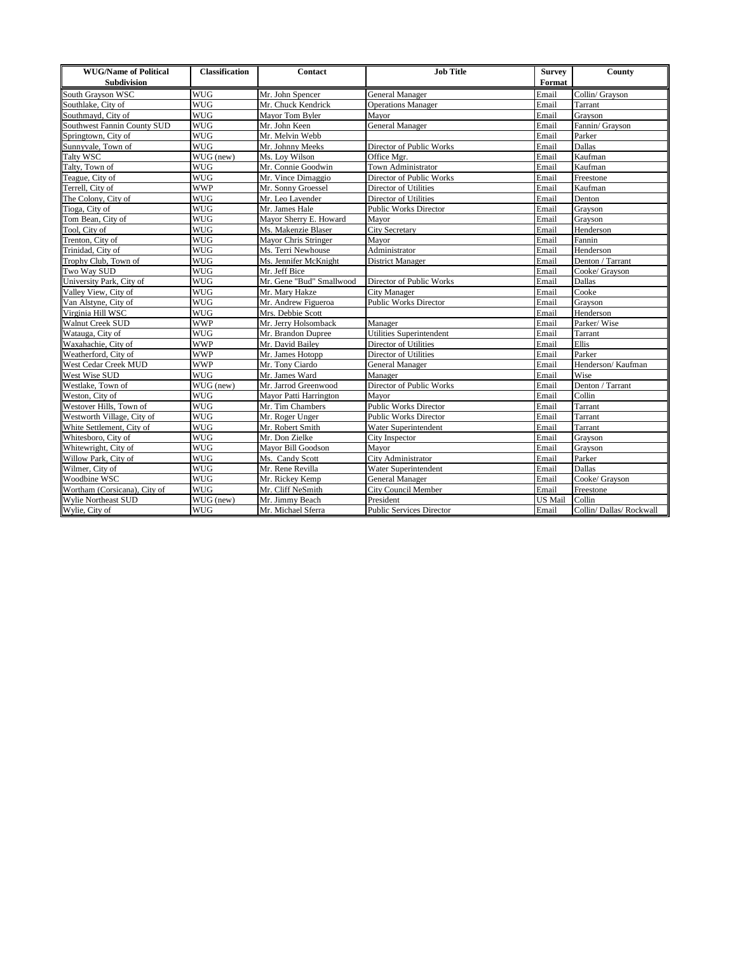| <b>WUG/Name of Political</b> | <b>Classification</b> | <b>Contact</b>           | <b>Job Title</b>                | <b>Survey</b> | County                 |
|------------------------------|-----------------------|--------------------------|---------------------------------|---------------|------------------------|
| Subdivision                  |                       |                          |                                 | Format        |                        |
| South Grayson WSC            | <b>WUG</b>            | Mr. John Spencer         | General Manager                 | Email         | Collin/ Grayson        |
| Southlake, City of           | <b>WUG</b>            | Mr. Chuck Kendrick       | <b>Operations Manager</b>       | Email         | Tarrant                |
| Southmayd, City of           | <b>WUG</b>            | Mayor Tom Byler          | Mayor                           | Email         | Grayson                |
| Southwest Fannin County SUD  | <b>WUG</b>            | Mr. John Keen            | <b>General Manager</b>          | Email         | Fannin/ Grayson        |
| Springtown, City of          | <b>WUG</b>            | Mr. Melvin Webb          |                                 | Email         | Parker                 |
| Sunnyvale, Town of           | <b>WUG</b>            | Mr. Johnny Meeks         | Director of Public Works        | Email         | Dallas                 |
| Talty WSC                    | WUG (new)             | Ms. Loy Wilson           | Office Mgr.                     | Email         | Kaufman                |
| Talty, Town of               | <b>WUG</b>            | Mr. Connie Goodwin       | Town Administrator              | Email         | Kaufman                |
| Teague, City of              | <b>WUG</b>            | Mr. Vince Dimaggio       | Director of Public Works        | Email         | Freestone              |
| Terrell, City of             | <b>WWP</b>            | Mr. Sonny Groessel       | Director of Utilities           | Email         | Kaufman                |
| The Colony, City of          | <b>WUG</b>            | Mr. Leo Lavender         | Director of Utilities           | Email         | Denton                 |
| Tioga, City of               | <b>WUG</b>            | Mr. James Hale           | <b>Public Works Director</b>    | Email         | Grayson                |
| Tom Bean, City of            | <b>WUG</b>            | Mayor Sherry E. Howard   | Mayor                           | Email         | Grayson                |
| Tool, City of                | <b>WUG</b>            | Ms. Makenzie Blaser      | <b>City Secretary</b>           | Email         | Henderson              |
| Trenton, City of             | <b>WUG</b>            | Mayor Chris Stringer     | Mavor                           | Email         | Fannin                 |
| Trinidad, City of            | <b>WUG</b>            | Ms. Terri Newhouse       | Administrator                   | Email         | Henderson              |
| Trophy Club, Town of         | <b>WUG</b>            | Ms. Jennifer McKnight    | <b>District Manager</b>         | Email         | Denton / Tarrant       |
| Two Way SUD                  | <b>WUG</b>            | Mr. Jeff Bice            |                                 | Email         | Cooke/ Grayson         |
| University Park, City of     | <b>WUG</b>            | Mr. Gene "Bud" Smallwood | Director of Public Works        | Email         | Dallas                 |
| Valley View, City of         | <b>WUG</b>            | Mr. Mary Hakze           | <b>City Manager</b>             | Email         | Cooke                  |
| Van Alstyne, City of         | <b>WUG</b>            | Mr. Andrew Figueroa      | <b>Public Works Director</b>    | Email         | Grayson                |
| Virginia Hill WSC            | <b>WUG</b>            | Mrs. Debbie Scott        |                                 | Email         | Henderson              |
| Walnut Creek SUD             | <b>WWP</b>            | Mr. Jerry Holsomback     | Manager                         | Email         | Parker/Wise            |
| Watauga, City of             | <b>WUG</b>            | Mr. Brandon Dupree       | Utilities Superintendent        | Email         | Tarrant                |
| Waxahachie, City of          | <b>WWP</b>            | Mr. David Bailey         | Director of Utilities           | Email         | Ellis                  |
| Weatherford, City of         | <b>WWP</b>            | Mr. James Hotopp         | Director of Utilities           | Email         | Parker                 |
| West Cedar Creek MUD         | <b>WWP</b>            | Mr. Tony Ciardo          | General Manager                 | Email         | Henderson/Kaufman      |
| West Wise SUD                | <b>WUG</b>            | Mr. James Ward           | Manager                         | Email         | Wise                   |
| Westlake, Town of            | WUG (new)             | Mr. Jarrod Greenwood     | Director of Public Works        | Email         | Denton / Tarrant       |
| Weston, City of              | <b>WUG</b>            | Mayor Patti Harrington   | Mayor                           | Email         | Collin                 |
| Westover Hills, Town of      | <b>WUG</b>            | Mr. Tim Chambers         | <b>Public Works Director</b>    | Email         | Tarrant                |
| Westworth Village, City of   | <b>WUG</b>            | Mr. Roger Unger          | <b>Public Works Director</b>    | Email         | Tarrant                |
| White Settlement, City of    | <b>WUG</b>            | Mr. Robert Smith         | Water Superintendent            | Email         | Tarrant                |
| Whitesboro, City of          | <b>WUG</b>            | Mr. Don Zielke           | City Inspector                  | Email         | Grayson                |
| Whitewright, City of         | <b>WUG</b>            | Mayor Bill Goodson       | Mayor                           | Email         | Grayson                |
| Willow Park, City of         | <b>WUG</b>            | Ms. Candy Scott          | City Administrator              | Email         | Parker                 |
| Wilmer, City of              | <b>WUG</b>            | Mr. Rene Revilla         | Water Superintendent            | Email         | Dallas                 |
| Woodbine WSC                 | <b>WUG</b>            | Mr. Rickey Kemp          | General Manager                 | Email         | Cooke/ Grayson         |
| Wortham (Corsicana), City of | <b>WUG</b>            | Mr. Cliff NeSmith        | City Council Member             | Email         | Freestone              |
| Wylie Northeast SUD          | WUG (new)             | Mr. Jimmy Beach          | President                       | US Mail       | Collin                 |
| Wylie, City of               | <b>WUG</b>            | Mr. Michael Sferra       | <b>Public Services Director</b> | Email         | Collin/Dallas/Rockwall |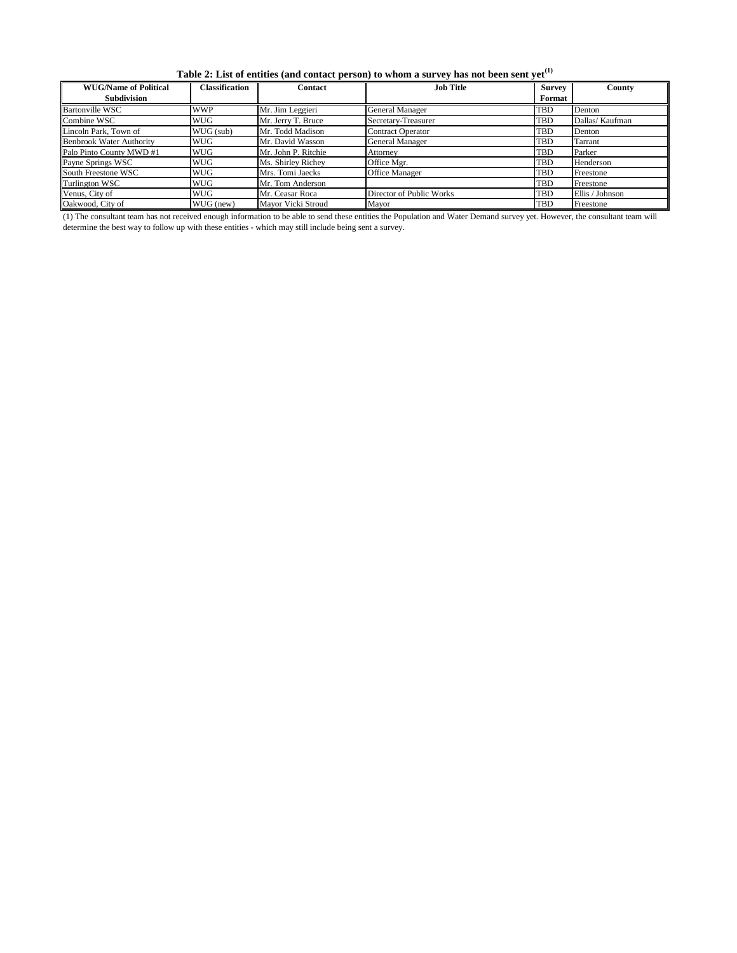**Table 2: List of entities (and contact person) to whom a survey has not been sent yet(1)**

| <b>WUG/Name of Political</b>    | <b>Classification</b> | <b>Contact</b>      | <b>Job Title</b>         | <b>Survey</b> | County          |
|---------------------------------|-----------------------|---------------------|--------------------------|---------------|-----------------|
| <b>Subdivision</b>              |                       |                     |                          | Format        |                 |
| <b>Bartonville WSC</b>          | <b>WWP</b>            | Mr. Jim Leggieri    | General Manager          | TBD           | Denton          |
| Combine WSC                     | <b>WUG</b>            | Mr. Jerry T. Bruce  | Secretary-Treasurer      | <b>TBD</b>    | Dallas/Kaufman  |
| Lincoln Park, Town of           | WUG (sub)             | Mr. Todd Madison    | <b>Contract Operator</b> | TBD           | Denton          |
| <b>Benbrook Water Authority</b> | <b>WUG</b>            | Mr. David Wasson    | General Manager          | TBD           | Tarrant         |
| Palo Pinto County MWD #1        | <b>WUG</b>            | Mr. John P. Ritchie | Attorney                 | TBD           | Parker          |
| Payne Springs WSC               | <b>WUG</b>            | Ms. Shirley Richey  | Office Mgr.              | TBD           | Henderson       |
| South Freestone WSC             | <b>WUG</b>            | Mrs. Tomi Jaecks    | <b>Office Manager</b>    | <b>TBD</b>    | Freestone       |
| Turlington WSC                  | <b>WUG</b>            | Mr. Tom Anderson    |                          | <b>TBD</b>    | Freestone       |
| Venus, City of                  | <b>WUG</b>            | Mr. Ceasar Roca     | Director of Public Works | <b>TBD</b>    | Ellis / Johnson |
| Oakwood, City of                | WUG (new)             | Mayor Vicki Stroud  | Mayor                    | <b>TBD</b>    | Freestone       |

(1) The consultant team has not received enough information to be able to send these entities the Population and Water Demand survey yet. However, the consultant team will determine the best way to follow up with these entities - which may still include being sent a survey.